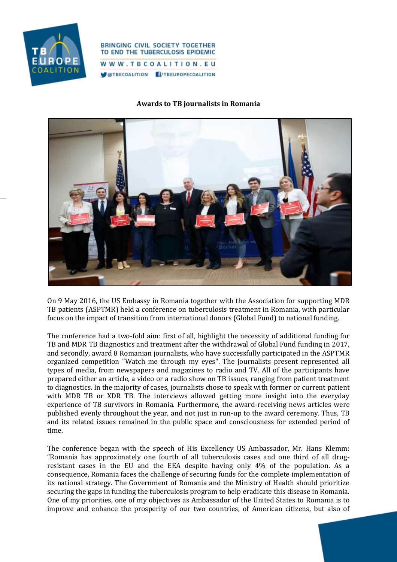

## **BRINGING CIVIL SOCIETY TOGETHER** TO END THE TUBERCULOSIS EPIDEMIC WWW.TBCOALITION.EU

@TBECOALITION **T**/TBEUROPECOALITION

## **Awards to TB journalists in Romania**



On 9 May 2016, the US Embassy in Romania together with the Association for supporting MDR TB patients (ASPTMR) held a conference on tuberculosis treatment in Romania, with particular focus on the impact of transition from international donors (Global Fund) to national funding.

The conference had a two-fold aim: first of all, highlight the necessity of additional funding for TB and MDR TB diagnostics and treatment after the withdrawal of Global Fund funding in 2017, and secondly, award 8 Romanian journalists, who have successfully participated in the ASPTMR organized competition "Watch me through my eyes". The journalists present represented all types of media, from newspapers and magazines to radio and TV. All of the participants have prepared either an article, a video or a radio show on TB issues, ranging from patient treatment to diagnostics. In the majority of cases, journalists chose to speak with former or current patient with MDR TB or XDR TB. The interviews allowed getting more insight into the everyday experience of TB survivors in Romania. Furthermore, the award-receiving news articles were published evenly throughout the year, and not just in run-up to the award ceremony. Thus, TB and its related issues remained in the public space and consciousness for extended period of time.

The conference began with the speech of His Excellency US Ambassador, Mr. Hans Klemm: "Romania has approximately one fourth of all tuberculosis cases and one third of all drugresistant cases in the EU and the EEA despite having only 4% of the population. As a consequence, Romania faces the challenge of securing funds for the complete implementation of its national strategy. The Government of Romania and the Ministry of Health should prioritize securing the gaps in funding the tuberculosis program to help eradicate this disease in Romania. One of my priorities, one of my objectives as Ambassador of the United States to Romania is to improve and enhance the prosperity of our two countries, of American citizens, but also of